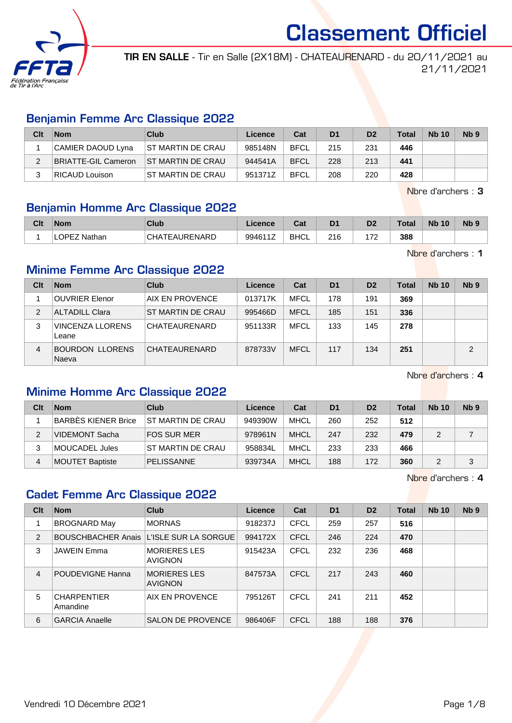

TIR EN SALLE - Tir en Salle (2X18M) - CHATEAURENARD - du 20/11/2021 au 21/11/2021

#### Benjamin Femme Arc Classique 2022

| Clt | <b>Nom</b>          | Club                      | Licence | Cat         | D <sub>1</sub> | D <sub>2</sub> | Total | <b>Nb 10</b> | Nb <sub>9</sub> |
|-----|---------------------|---------------------------|---------|-------------|----------------|----------------|-------|--------------|-----------------|
|     | CAMIER DAOUD Lyna   | <b>IST MARTIN DE CRAU</b> | 985148N | <b>BFCL</b> | 215            | 231            | 446   |              |                 |
|     | BRIATTE-GIL Cameron | <b>ST MARTIN DE CRAU</b>  | 944541A | <b>BFCL</b> | 228            | 213            | 441   |              |                 |
|     | RICAUD Louison      | <b>ST MARTIN DE CRAU</b>  | 951371Z | <b>BFCL</b> | 208            | 220            | 428   |              |                 |

Nbre d'archers : 3

#### Benjamin Homme Arc Classique 2022

| Clt | <b>Nom</b>            | Club                                       | Licence | <b>Dol</b><br>Jat | D <sub>1</sub> | n <sub>o</sub><br>ш      | Total | <b>N<sub>b</sub></b><br>10 | N <sub>b</sub> <sub>9</sub> |
|-----|-----------------------|--------------------------------------------|---------|-------------------|----------------|--------------------------|-------|----------------------------|-----------------------------|
|     | <b>OPEZ</b><br>Nathan | C <sub>H</sub><br><b><i>FEAURENARD</i></b> | 994611Z | <b>BHCL</b>       | 216            | $\overline{\phantom{a}}$ | 388   |                            |                             |

Nbre d'archers : 1

#### Minime Femme Arc Classique 2022

| Clt           | <b>Nom</b>                       | Club              | Licence | Cat         | D <sub>1</sub> | D <sub>2</sub> | <b>Total</b> | <b>Nb 10</b> | N <sub>b</sub> <sub>9</sub> |
|---------------|----------------------------------|-------------------|---------|-------------|----------------|----------------|--------------|--------------|-----------------------------|
|               | <b>OUVRIER Elenor</b>            | AIX EN PROVENCE   | 013717K | MFCL        | 178            | 191            | 369          |              |                             |
| $\mathcal{P}$ | <b>ALTADILL Clara</b>            | ST MARTIN DE CRAU | 995466D | <b>MFCL</b> | 185            | 151            | 336          |              |                             |
| 3             | <b>VINCENZA LLORENS</b><br>Leane | CHATEAURENARD     | 951133R | MFCL        | 133            | 145            | 278          |              |                             |
| 4             | <b>BOURDON LLORENS</b><br>Naeva  | CHATEAURENARD     | 878733V | <b>MFCL</b> | 117            | 134            | 251          |              | $\mathcal{P}$               |

Nbre d'archers : 4

#### Minime Homme Arc Classique 2022

| Clt | <b>Nom</b>             | Club                     | Licence | Cat         | D <sub>1</sub> | D <sub>2</sub> | Total | <b>Nb 10</b> | N <sub>b</sub> 9 |
|-----|------------------------|--------------------------|---------|-------------|----------------|----------------|-------|--------------|------------------|
|     | BARBÉS KIENER Brice    | <b>ST MARTIN DE CRAU</b> | 949390W | <b>MHCL</b> | 260            | 252            | 512   |              |                  |
| 2   | VIDEMONT Sacha         | FOS SUR MER              | 978961N | <b>MHCL</b> | 247            | 232            | 479   |              |                  |
| 3   | MOUCADEL Jules         | IST MARTIN DE CRAU       | 958834L | <b>MHCL</b> | 233            | 233            | 466   |              |                  |
| 4   | <b>MOUTET Baptiste</b> | <b>PELISSANNE</b>        | 939734A | <b>MHCL</b> | 188            | 172            | 360   |              | 3                |

Nbre d'archers : 4

#### Cadet Femme Arc Classique 2022

| Clt | <b>Nom</b>                     | Club                                    | Licence | Cat         | D <sub>1</sub> | D <sub>2</sub> | Total | <b>Nb 10</b> | Nb <sub>9</sub> |
|-----|--------------------------------|-----------------------------------------|---------|-------------|----------------|----------------|-------|--------------|-----------------|
|     | <b>BROGNARD May</b>            | <b>MORNAS</b>                           | 918237J | <b>CFCL</b> | 259            | 257            | 516   |              |                 |
| 2   |                                | BOUSCHBACHER Anais L'ISLE SUR LA SORGUE | 994172X | <b>CFCL</b> | 246            | 224            | 470   |              |                 |
| 3   | <b>JAWEIN Emma</b>             | <b>MORIERES LES</b><br><b>AVIGNON</b>   | 915423A | <b>CFCL</b> | 232            | 236            | 468   |              |                 |
| 4   | <b>POUDEVIGNE Hanna</b>        | <b>MORIERES LES</b><br><b>AVIGNON</b>   | 847573A | CFCL        | 217            | 243            | 460   |              |                 |
| 5   | <b>CHARPENTIER</b><br>Amandine | AIX EN PROVENCE                         | 795126T | CFCL        | 241            | 211            | 452   |              |                 |
| 6   | <b>GARCIA Anaelle</b>          | <b>SALON DE PROVENCE</b>                | 986406F | <b>CFCL</b> | 188            | 188            | 376   |              |                 |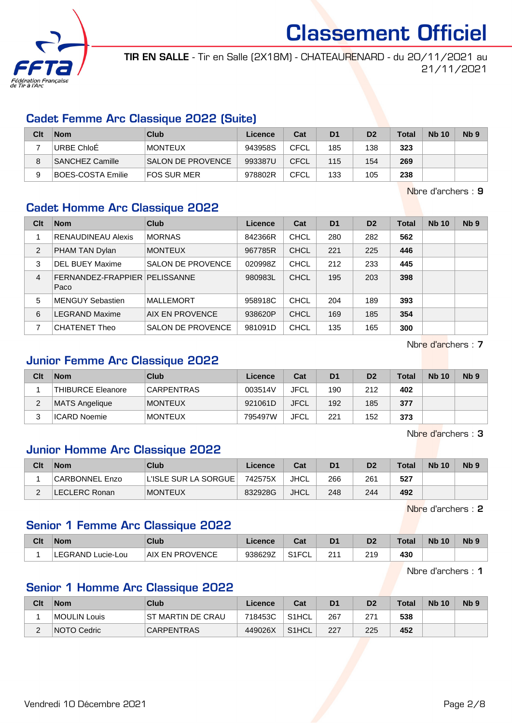

TIR EN SALLE - Tir en Salle (2X18M) - CHATEAURENARD - du 20/11/2021 au 21/11/2021

#### Cadet Femme Arc Classique 2022 (Suite)

| Clt | <b>Nom</b>               | Club                     | Licence | Cat         | D <sub>1</sub> | D <sub>2</sub> | Total | <b>Nb 10</b> | Nb <sub>9</sub> |
|-----|--------------------------|--------------------------|---------|-------------|----------------|----------------|-------|--------------|-----------------|
|     | URBE ChloE               | MONTEUX                  | 943958S | CFCL        | 185            | 138            | 323   |              |                 |
|     | SANCHEZ Camille          | <b>SALON DE PROVENCE</b> | 993387U | CFCL        | 115            | 154            | 269   |              |                 |
|     | <b>BOES-COSTA Emilie</b> | FOS SUR MER              | 978802R | <b>CFCL</b> | 133            | 105            | 238   |              |                 |

Nbre d'archers : 9

#### Cadet Homme Arc Classique 2022

| Clt | <b>Nom</b>                              | Club                     | Licence | Cat         | D <sub>1</sub> | D <sub>2</sub> | <b>Total</b> | <b>Nb 10</b> | Nb <sub>9</sub> |
|-----|-----------------------------------------|--------------------------|---------|-------------|----------------|----------------|--------------|--------------|-----------------|
|     | <b>RENAUDINEAU Alexis</b>               | <b>MORNAS</b>            | 842366R | <b>CHCL</b> | 280            | 282            | 562          |              |                 |
| 2   | PHAM TAN Dylan                          | <b>MONTEUX</b>           | 967785R | <b>CHCL</b> | 221            | 225            | 446          |              |                 |
| 3   | <b>DEL BUEY Maxime</b>                  | <b>SALON DE PROVENCE</b> | 020998Z | <b>CHCL</b> | 212            | 233            | 445          |              |                 |
| 4   | FERNANDEZ-FRAPPIER   PELISSANNE<br>Paco |                          | 980983L | <b>CHCL</b> | 195            | 203            | 398          |              |                 |
| 5   | <b>MENGUY Sebastien</b>                 | <b>MALLEMORT</b>         | 958918C | <b>CHCL</b> | 204            | 189            | 393          |              |                 |
| 6   | <b>LEGRAND Maxime</b>                   | AIX EN PROVENCE          | 938620P | <b>CHCL</b> | 169            | 185            | 354          |              |                 |
|     | <b>CHATENET Theo</b>                    | <b>SALON DE PROVENCE</b> | 981091D | <b>CHCL</b> | 135            | 165            | 300          |              |                 |

Nbre d'archers : 7

### Junior Femme Arc Classique 2022

| Clt | <b>Nom</b>        | Club              | Licence | Cat         | D <sub>1</sub> | D <sub>2</sub> | <b>Total</b> | <b>Nb 10</b> | N <sub>b</sub> <sub>9</sub> |
|-----|-------------------|-------------------|---------|-------------|----------------|----------------|--------------|--------------|-----------------------------|
|     | THIBURCE Eleanore | <b>CARPENTRAS</b> | 003514V | <b>JFCL</b> | 190            | 212            | 402          |              |                             |
| ∠   | MATS Angelique    | <b>MONTEUX</b>    | 921061D | <b>JFCL</b> | 192            | 185            | 377          |              |                             |
|     | ICARD Noemie      | <b>MONTEUX</b>    | 795497W | JFCL        | 221            | 152            | 373          |              |                             |

Nbre d'archers : 3

#### Junior Homme Arc Classique 2022

| Clt | <b>Nom</b>            | Club                 | Licence | Cat         | D <sub>1</sub> | D <sub>2</sub> | <b>Total</b> | <b>Nb 10</b> | N <sub>b</sub> 9 |
|-----|-----------------------|----------------------|---------|-------------|----------------|----------------|--------------|--------------|------------------|
|     | <b>CARBONNEL Enzo</b> | L'ISLE SUR LA SORGUE | 742575X | JHCL        | 266            | 261            | 527          |              |                  |
|     | LECLERC Ronan         | <b>MONTEUX</b>       | 832928G | <b>JHCL</b> | 248            | 244            | 492          |              |                  |

Nbre d'archers : 2

#### Senior 1 Femme Arc Classique 2022

| Clt | <b>Nom</b>        | Club                         | .icence | Cat                       |     | Dź            | Total | <b>Nb</b><br>10 | N <sub>b</sub> s |
|-----|-------------------|------------------------------|---------|---------------------------|-----|---------------|-------|-----------------|------------------|
|     | LEGRAND Lucie-Lou | ⊤AIX ⊓<br><b>EN PROVENCE</b> | 938629Z | S <sub>1</sub> FCL<br>ັບ∟ | つ1・ | 21 Q<br>ن ا ک | 430   |                 |                  |

Nbre d'archers : 1

#### Senior 1 Homme Arc Classique 2022

| Clt           | <b>Nom</b>         | <b>Club</b>        | Licence | Cat   | D <sub>1</sub> | D <sub>2</sub> | <b>Total</b> | <b>Nb 10</b> | Nb <sub>5</sub> |
|---------------|--------------------|--------------------|---------|-------|----------------|----------------|--------------|--------------|-----------------|
|               | MOULIN Louis       | IST MARTIN DE CRAU | 718453C | S1HCL | -267           | 271            | 538          |              |                 |
| ⌒<br><u>_</u> | <b>NOTO Cedric</b> | <b>CARPENTRAS</b>  | 449026X | S1HCL | 227            | 225            | 452          |              |                 |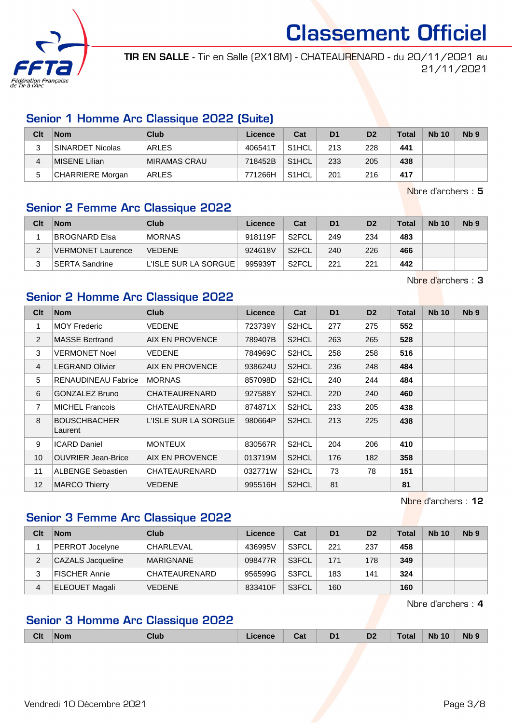

TIR EN SALLE - Tir en Salle (2X18M) - CHATEAURENARD - du 20/11/2021 au 21/11/2021

#### Senior 1 Homme Arc Classique 2022 (Suite)

| Clt | <b>Nom</b>              | Club         | Licence | Cat                | D <sub>1</sub> | D <sub>2</sub> | $\tau$ otal | <b>Nb 10</b> | N <sub>b</sub> <sub>9</sub> |
|-----|-------------------------|--------------|---------|--------------------|----------------|----------------|-------------|--------------|-----------------------------|
|     | <b>SINARDET Nicolas</b> | ARLES        | 406541T | S <sub>1</sub> HCL | 213            | 228            | 441         |              |                             |
| 4   | MISENE Lilian           | MIRAMAS CRAU | 718452B | S <sub>1</sub> HCL | 233            | 205            | 438         |              |                             |
| 5   | <b>CHARRIERE Morgan</b> | ARLES        | 771266H | S <sub>1</sub> HCL | 201            | 216            | 417         |              |                             |

Nbre d'archers : 5

#### Senior 2 Femme Arc Classique 2022

| Clt | <b>Nom</b>               | Club                 | Licence | Cat                | D <sub>1</sub> | D <sub>2</sub> | Total | <b>Nb 10</b> | Nb <sub>9</sub> |
|-----|--------------------------|----------------------|---------|--------------------|----------------|----------------|-------|--------------|-----------------|
|     | BROGNARD Elsa            | <b>MORNAS</b>        | 918119F | S <sub>2</sub> FCL | 249            | 234            | 483   |              |                 |
| C   | <b>VERMONET Laurence</b> | <b>VEDENE</b>        | 924618V | S <sub>2</sub> FCL | 240            | 226            | 466   |              |                 |
| ີ   | ⊺SERTA Sandrine          | L'ISLE SUR LA SORGUE | 995939T | S2FCL              | 221            | 221            | 442   |              |                 |

Nbre d'archers : 3

## Senior 2 Homme Arc Classique 2022

| Clt            | <b>Nom</b>                     | <b>Club</b>          | Licence | Cat                | D <sub>1</sub> | D <sub>2</sub> | <b>Total</b> | <b>Nb 10</b> | N <sub>b</sub> <sub>9</sub> |
|----------------|--------------------------------|----------------------|---------|--------------------|----------------|----------------|--------------|--------------|-----------------------------|
| 1              | <b>MOY Frederic</b>            | VEDENE               | 723739Y | S <sub>2</sub> HCL | 277            | 275            | 552          |              |                             |
| 2              | <b>MASSE Bertrand</b>          | AIX EN PROVENCE      | 789407B | S <sub>2</sub> HCL | 263            | 265            | 528          |              |                             |
| 3              | <b>VERMONET Noel</b>           | VEDENE               | 784969C | S2HCL              | 258            | 258            | 516          |              |                             |
| $\overline{4}$ | <b>LEGRAND Olivier</b>         | AIX EN PROVENCE      | 938624U | S <sub>2</sub> HCL | 236            | 248            | 484          |              |                             |
| 5              | <b>RENAUDINEAU Fabrice</b>     | <b>MORNAS</b>        | 857098D | S <sub>2</sub> HCL | 240            | 244            | 484          |              |                             |
| 6              | <b>GONZALEZ Bruno</b>          | CHATEAURENARD        | 927588Y | S2HCL              | 220            | 240            | 460          |              |                             |
| 7              | <b>MICHEL Francois</b>         | CHATEAURENARD        | 874871X | S <sub>2</sub> HCL | 233            | 205            | 438          |              |                             |
| 8              | <b>BOUSCHBACHER</b><br>Laurent | L'ISLE SUR LA SORGUE | 980664P | S <sub>2</sub> HCL | 213            | 225            | 438          |              |                             |
| 9              | <b>ICARD Daniel</b>            | <b>MONTEUX</b>       | 830567R | S2HCL              | 204            | 206            | 410          |              |                             |
| 10             | <b>OUVRIER Jean-Brice</b>      | AIX EN PROVENCE      | 013719M | S <sub>2</sub> HCL | 176            | 182            | 358          |              |                             |
| 11             | <b>ALBENGE Sebastien</b>       | CHATEAURENARD        | 032771W | S2HCL              | 73             | 78             | 151          |              |                             |
| 12             | <b>MARCO Thierry</b>           | <b>VEDENE</b>        | 995516H | S2HCL              | 81             |                | 81           |              |                             |

Nbre d'archers : 12

## Senior 3 Femme Arc Classique 2022

| Clt | <b>Nom</b>            | Club             | Licence | Cat   | D <sub>1</sub> | D <sub>2</sub> | Total | <b>Nb 10</b> | Nb <sub>9</sub> |
|-----|-----------------------|------------------|---------|-------|----------------|----------------|-------|--------------|-----------------|
|     | PERROT Jocelyne       | <b>CHARLEVAL</b> | 436995V | S3FCL | 221            | 237            | 458   |              |                 |
| 2   | CAZALS Jacqueline     | <b>MARIGNANE</b> | 098477R | S3FCL | 171            | 178            | 349   |              |                 |
| 3   | <b>FISCHER Annie</b>  | CHATEAURENARD    | 956599G | S3FCL | 183            | 141            | 324   |              |                 |
| 4   | <b>ELEOUET Magali</b> | <b>VEDENE</b>    | 833410F | S3FCL | 160            |                | 160   |              |                 |

Nbre d'archers : 4

## Senior 3 Homme Arc Classique 2022

|  | <b>Clt</b> | <b>Nom</b> | CluL | ______ | - - -<br>ual | D <sub>1</sub><br>- - | D <sub>2</sub> | Total | <b>N<sub>F</sub></b><br>10 | <b>Nb</b> |
|--|------------|------------|------|--------|--------------|-----------------------|----------------|-------|----------------------------|-----------|
|--|------------|------------|------|--------|--------------|-----------------------|----------------|-------|----------------------------|-----------|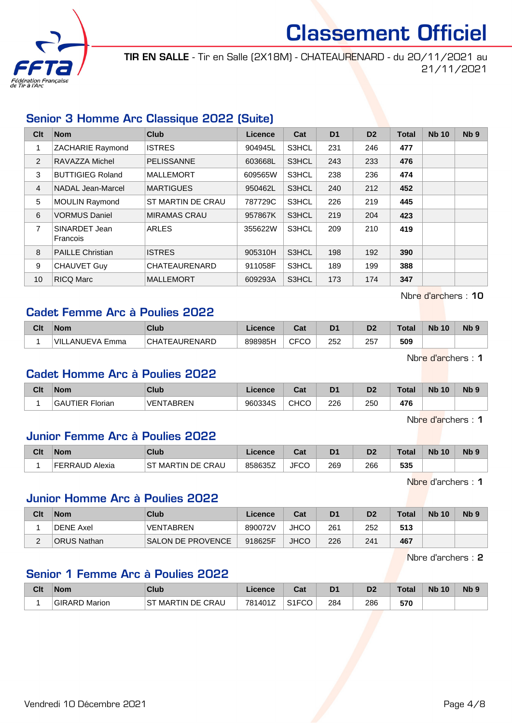

TIR EN SALLE - Tir en Salle (2X18M) - CHATEAURENARD - du 20/11/2021 au 21/11/2021

#### Senior 3 Homme Arc Classique 2022 (Suite)

| Clt            | <b>Nom</b>                | <b>Club</b>         | Licence | Cat   | D <sub>1</sub> | D <sub>2</sub> | <b>Total</b> | <b>Nb 10</b> | N <sub>b</sub> <sub>9</sub> |
|----------------|---------------------------|---------------------|---------|-------|----------------|----------------|--------------|--------------|-----------------------------|
|                | <b>ZACHARIE Raymond</b>   | <b>ISTRES</b>       | 904945L | S3HCL | 231            | 246            | 477          |              |                             |
| 2              | RAVAZZA Michel            | <b>PELISSANNE</b>   | 603668L | S3HCL | 243            | 233            | 476          |              |                             |
| 3              | <b>BUTTIGIEG Roland</b>   | <b>MALLEMORT</b>    | 609565W | S3HCL | 238            | 236            | 474          |              |                             |
| $\overline{4}$ | NADAL Jean-Marcel         | <b>MARTIGUES</b>    | 950462L | S3HCL | 240            | 212            | 452          |              |                             |
| 5              | <b>MOULIN Raymond</b>     | ST MARTIN DE CRAU   | 787729C | S3HCL | 226            | 219            | 445          |              |                             |
| 6              | <b>VORMUS Daniel</b>      | <b>MIRAMAS CRAU</b> | 957867K | S3HCL | 219            | 204            | 423          |              |                             |
| 7              | SINARDET Jean<br>Francois | <b>ARLES</b>        | 355622W | S3HCL | 209            | 210            | 419          |              |                             |
| 8              | <b>PAILLE Christian</b>   | <b>ISTRES</b>       | 905310H | S3HCL | 198            | 192            | 390          |              |                             |
| 9              | CHAUVET Guy               | CHATEAURENARD       | 911058F | S3HCL | 189            | 199            | 388          |              |                             |
| 10             | <b>RICQ Marc</b>          | <b>MALLEMORT</b>    | 609293A | S3HCL | 173            | 174            | 347          |              |                             |

#### Nbre d'archers : 10

#### Cadet Femme Arc à Poulies 2022

| Clt | <b>Nom</b>             | Club          | Licence | Pot.<br>ua  | D <sub>1</sub> | n <sub>o</sub><br>ש | Total | <b>N<sub>b</sub></b><br>10 | N <sub>b</sub> <sub>9</sub> |
|-----|------------------------|---------------|---------|-------------|----------------|---------------------|-------|----------------------------|-----------------------------|
|     | <b>VILLANUEVA Emma</b> | CHATEAURENARD | 898985H | <b>CFCC</b> | 252<br>____    | 257<br>$\sim$       | 509   |                            |                             |

Nbre d'archers : 1

#### Cadet Homme Arc à Poulies 2022

| Clt | <b>Nom</b>                         | Club             | <b>Licence</b> | $\sim$<br>ual | D <sub>1</sub> | n <sub>o</sub><br>ש | Гоtа | <b>N<sub>b</sub></b><br>10 | N <sub>b</sub> <sub>9</sub> |
|-----|------------------------------------|------------------|----------------|---------------|----------------|---------------------|------|----------------------------|-----------------------------|
|     | <b>ITIER</b><br><br>GAl<br>Florian | <b>VENTARREN</b> | 960334S        | <b>CHCO</b>   | 226            | 250<br>$\sim$       | 476  |                            |                             |

Nbre d'archers : 1

#### Junior Femme Arc à Poulies 2022

| Clt | Nom.                     | Club                                    | Licence | <b>Take</b><br>ual | D <sub>1</sub> | D2  | $\tau$ otal | <b>N<sub>b</sub></b><br>10 | N <sub>b</sub> <sub>9</sub> |
|-----|--------------------------|-----------------------------------------|---------|--------------------|----------------|-----|-------------|----------------------------|-----------------------------|
|     | <b>FFRRAUD</b><br>Alexia | TIN DE CRAU!<br>$_{\rm cr}$<br>MAR<br>C | 858635Z | מרייו<br>∪י<br>◡   | 269            | 266 | 535         |                            |                             |

Nbre d'archers : 1

#### Junior Homme Arc à Poulies 2022

| Clt      | <b>Nom</b>         | Club                     | Licence | Cat         | D <sub>1</sub> | D <sub>2</sub> | Total | <b>Nb 10</b> | N <sub>b</sub> 9 |
|----------|--------------------|--------------------------|---------|-------------|----------------|----------------|-------|--------------|------------------|
|          | <b>DENE Axel</b>   | <b>VENTABREN</b>         | 890072V | JHCC        | 261            | 252            | 513   |              |                  |
| <u>_</u> | <b>ORUS Nathan</b> | <b>SALON DE PROVENCE</b> | 918625F | <b>JHCC</b> | 226            | 241            | 467   |              |                  |

Nbre d'archers : 2

#### Senior 1 Femme Arc à Poulies 2022

| Clt | <b>Nom</b>    | Club                  | <b>Licence</b> | ◠⌒ィ<br>val         | D <sub>1</sub> | D <sub>2</sub> | Total | <b>Nb 10</b> | N <sub>b</sub> <sub>9</sub> |
|-----|---------------|-----------------------|----------------|--------------------|----------------|----------------|-------|--------------|-----------------------------|
|     | GIRARD Marion | MARTIN DE CRAU<br>⊹ST | 781401Z        | S <sub>1</sub> FCO | 284            | 286            | 570   |              |                             |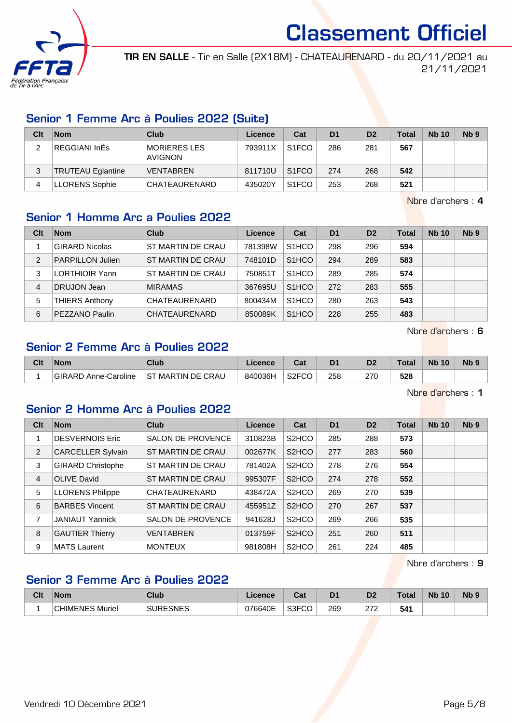

TIR EN SALLE - Tir en Salle (2X18M) - CHATEAURENARD - du 20/11/2021 au 21/11/2021

#### Senior 1 Femme Arc à Poulies 2022 (Suite)

| Clt | <b>Nom</b>               | Club                                  | Licence | Cat                | D <sub>1</sub> | D <sub>2</sub> | <b>Total</b> | <b>Nb 10</b> | N <sub>b</sub> <sub>9</sub> |
|-----|--------------------------|---------------------------------------|---------|--------------------|----------------|----------------|--------------|--------------|-----------------------------|
| ົ   | REGGIANI InEs            | <b>MORIERES LES</b><br><b>AVIGNON</b> | 793911X | S <sub>1</sub> FCO | 286            | 281            | 567          |              |                             |
| 3   | <b>TRUTEAU Eglantine</b> | <b>VENTABREN</b>                      | 811710U | S <sub>1</sub> FCO | 274            | 268            | 542          |              |                             |
| 4   | LLORENS Sophie           | CHATEAURENARD                         | 435020Y | S <sub>1</sub> FCO | 253            | 268            | 521          |              |                             |

Nbre d'archers : 4

### Senior 1 Homme Arc a Poulies 2022

| Clt            | <b>Nom</b>              | Club              | Licence | Cat                | D <sub>1</sub> | D <sub>2</sub> | <b>Total</b> | <b>Nb 10</b> | Nb <sub>9</sub> |
|----------------|-------------------------|-------------------|---------|--------------------|----------------|----------------|--------------|--------------|-----------------|
|                | <b>GIRARD Nicolas</b>   | ST MARTIN DE CRAU | 781398W | S <sub>1</sub> HCO | 298            | 296            | 594          |              |                 |
| $\overline{2}$ | <b>PARPILLON Julien</b> | ST MARTIN DE CRAU | 748101D | S <sub>1</sub> HCO | 294            | 289            | 583          |              |                 |
| 3              | LORTHIOIR Yann          | ST MARTIN DE CRAU | 750851T | S <sub>1</sub> HCO | 289            | 285            | 574          |              |                 |
| 4              | DRUJON Jean             | <b>MIRAMAS</b>    | 367695U | S <sub>1</sub> HCO | 272            | 283            | 555          |              |                 |
| 5              | <b>THIERS Anthony</b>   | CHATEAURENARD     | 800434M | S <sub>1</sub> HCO | 280            | 263            | 543          |              |                 |
| 6              | PEZZANO Paulin          | CHATEAURENARD     | 850089K | S <sub>1</sub> HCO | 228            | 255            | 483          |              |                 |

Nbre d'archers : 6

### Senior 2 Femme Arc à Poulies 2022

| Clt | <b>Nom</b>           | Club                   | icence  | <b>That</b><br>ual | D1  | D2  | <b>Total</b> | <b>N<sub>b</sub></b><br>10 | N <sub>b</sub> <sub>9</sub> |
|-----|----------------------|------------------------|---------|--------------------|-----|-----|--------------|----------------------------|-----------------------------|
|     | GIRARD Anne-Caroline | ' MARTIN DE CRAU<br>ST | 840036H | S <sub>2</sub> FCO | 258 | 270 | 528          |                            |                             |

Nbre d'archers : 1

## Senior 2 Homme Arc à Poulies 2022

| Clt | <b>Nom</b>               | Club                     | <b>Licence</b> | Cat                | D <sub>1</sub> | D <sub>2</sub> | <b>Total</b> | <b>Nb 10</b> | N <sub>b</sub> <sub>9</sub> |
|-----|--------------------------|--------------------------|----------------|--------------------|----------------|----------------|--------------|--------------|-----------------------------|
|     | <b>DESVERNOIS Eric</b>   | <b>SALON DE PROVENCE</b> | 310823B        | S <sub>2</sub> HCO | 285            | 288            | 573          |              |                             |
| 2   | <b>CARCELLER Sylvain</b> | ST MARTIN DE CRAU        | 002677K        | S <sub>2</sub> HCO | 277            | 283            | 560          |              |                             |
| 3   | <b>GIRARD Christophe</b> | ST MARTIN DE CRAU        | 781402A        | S <sub>2</sub> HCO | 278            | 276            | 554          |              |                             |
| 4   | <b>OLIVE David</b>       | ST MARTIN DE CRAU        | 995307F        | S <sub>2</sub> HCO | 274            | 278            | 552          |              |                             |
| 5   | <b>LLORENS Philippe</b>  | CHATEAURENARD            | 438472A        | S <sub>2</sub> HCO | 269            | 270            | 539          |              |                             |
| 6   | <b>BARBES Vincent</b>    | ST MARTIN DE CRAU        | 455951Z        | S <sub>2</sub> HCO | 270            | 267            | 537          |              |                             |
| 7   | <b>JANIAUT Yannick</b>   | <b>SALON DE PROVENCE</b> | 941628J        | S <sub>2</sub> HCO | 269            | 266            | 535          |              |                             |
| 8   | <b>GAUTIER Thierry</b>   | <b>VENTABREN</b>         | 013759F        | S <sub>2</sub> HCO | 251            | 260            | 511          |              |                             |
| 9   | <b>MATS Laurent</b>      | <b>MONTEUX</b>           | 981808H        | S <sub>2</sub> HCO | 261            | 224            | 485          |              |                             |

Nbre d'archers : 9

### Senior 3 Femme Arc à Poulies 2022

| Clt | <b>Nom</b>               | Club                          | <b>licence</b> | יפ<br>uai  | D <sub>1</sub> | D <sub>2</sub>  | <b>Total</b> | <b>Nb</b><br>10 | <b>Nb</b> |
|-----|--------------------------|-------------------------------|----------------|------------|----------------|-----------------|--------------|-----------------|-----------|
|     | <b>HIMENE?</b><br>Muriel | <b>IRESNES</b><br><b>QHID</b> | 076640E        | S3FCO<br>w | 269            | הדה<br><u>_</u> | 541          |                 |           |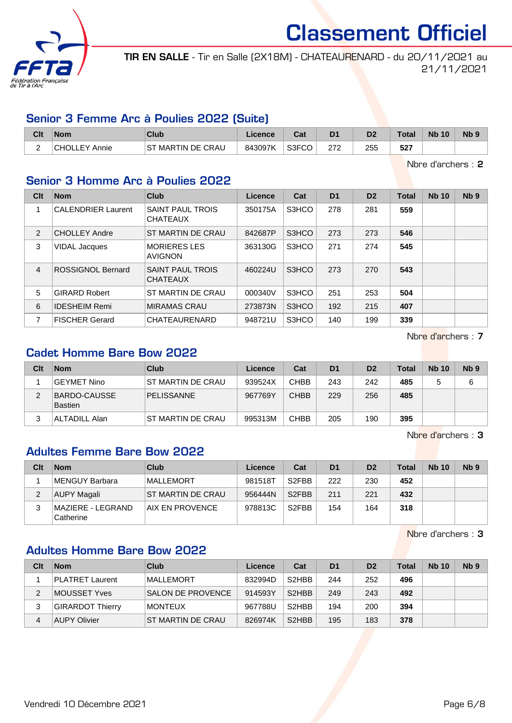

TIR EN SALLE - Tir en Salle (2X18M) - CHATEAURENARD - du 20/11/2021 au 21/11/2021

#### Senior 3 Femme Arc à Poulies 2022 (Suite)

| Clt | <b>Nom</b>           | Club                  | Licence | $R_{\rm eff}$<br>ua | D <sub>1</sub> | D <sub>2</sub> | <b>Total</b> | <b>Nb 10</b> | N <sub>b</sub> 9 |
|-----|----------------------|-----------------------|---------|---------------------|----------------|----------------|--------------|--------------|------------------|
| -   | <b>CHOLLEY Annie</b> | MARTIN DE CRAU<br>.ST | 843097K | S3FCO               | מדר<br>212     | 255            | 527          |              |                  |

Nbre d'archers : 2

#### Senior 3 Homme Arc à Poulies 2022

| Clt            | <b>Nom</b>                | Club                                       | Licence | Cat   | D <sub>1</sub> | D <sub>2</sub> | <b>Total</b> | <b>Nb 10</b> | Nb <sub>9</sub> |
|----------------|---------------------------|--------------------------------------------|---------|-------|----------------|----------------|--------------|--------------|-----------------|
|                | <b>CALENDRIER Laurent</b> | SAINT PAUL TROIS<br><b>CHATEAUX</b>        | 350175A | S3HCO | 278            | 281            | 559          |              |                 |
| 2              | <b>CHOLLEY Andre</b>      | ST MARTIN DE CRAU                          | 842687P | S3HCO | 273            | 273            | 546          |              |                 |
| 3              | <b>VIDAL Jacques</b>      | <b>MORIERES LES</b><br><b>AVIGNON</b>      | 363130G | S3HCO | 271            | 274            | 545          |              |                 |
| $\overline{4}$ | ROSSIGNOL Bernard         | <b>SAINT PAUL TROIS</b><br><b>CHATEAUX</b> | 460224U | S3HCO | 273            | 270            | 543          |              |                 |
| 5              | <b>GIRARD Robert</b>      | <b>ST MARTIN DE CRAU</b>                   | 000340V | S3HCO | 251            | 253            | 504          |              |                 |
| 6              | <b>IDESHEIM Remi</b>      | <b>MIRAMAS CRAU</b>                        | 273873N | S3HCO | 192            | 215            | 407          |              |                 |
| 7              | <b>FISCHER Gerard</b>     | CHATEAURENARD                              | 948721U | S3HCO | 140            | 199            | 339          |              |                 |

Nbre d'archers : 7

## Cadet Homme Bare Bow 2022

| Clt | <b>Nom</b>                     | Club              | Licence | Cat         | D <sub>1</sub> | D <sub>2</sub> | <b>Total</b> | <b>Nb 10</b> | Nb <sub>9</sub> |
|-----|--------------------------------|-------------------|---------|-------------|----------------|----------------|--------------|--------------|-----------------|
|     | <b>GEYMET Nino</b>             | ST MARTIN DE CRAU | 939524X | CHBB        | 243            | 242            | 485          |              | 6               |
| 2   | <b>BARDO-CAUSSE</b><br>Bastien | <b>PELISSANNE</b> | 967769Y | <b>CHBB</b> | 229            | 256            | 485          |              |                 |
|     | <b>ALTADILL Alan</b>           | ST MARTIN DE CRAU | 995313M | CHBB        | 205            | 190            | 395          |              |                 |

Nbre d'archers : 3

#### Adultes Femme Bare Bow 2022

| Clt | <b>Nom</b>                     | Club               | Licence | Cat                | D <sub>1</sub> | D <sub>2</sub> | <b>Total</b> | <b>Nb 10</b> | Nb <sub>9</sub> |
|-----|--------------------------------|--------------------|---------|--------------------|----------------|----------------|--------------|--------------|-----------------|
|     | MENGUY Barbara                 | MALLEMORT          | 981518T | S <sub>2</sub> FBB | 222            | 230            | 452          |              |                 |
|     | AUPY Magali                    | IST MARTIN DE CRAU | 956444N | S <sub>2</sub> FBB | 211            | 221            | 432          |              |                 |
| 3   | MAZIERE - LEGRAND<br>Catherine | AIX EN PROVENCE    | 978813C | S <sub>2</sub> FBB | 154            | 164            | 318          |              |                 |

Nbre d'archers : 3

## Adultes Homme Bare Bow 2022

| Clt | <b>Nom</b>             | Club                     | Licence | Cat                | D <sub>1</sub> | D <sub>2</sub> | <b>Total</b> | <b>Nb 10</b> | N <sub>b</sub> <sub>9</sub> |
|-----|------------------------|--------------------------|---------|--------------------|----------------|----------------|--------------|--------------|-----------------------------|
|     | <b>PLATRET Laurent</b> | <b>MALLEMORT</b>         | 832994D | S <sub>2</sub> HBB | 244            | 252            | 496          |              |                             |
| 2   | MOUSSET Yves           | <b>SALON DE PROVENCE</b> | 914593Y | S <sub>2</sub> HBB | 249            | 243            | 492          |              |                             |
| 3   | GIRARDOT Thierry       | <b>MONTEUX</b>           | 967788U | S <sub>2</sub> HBB | 194            | 200            | 394          |              |                             |
| 4   | AUPY Olivier           | ST MARTIN DE CRAU        | 826974K | S <sub>2</sub> HBB | 195            | 183            | 378          |              |                             |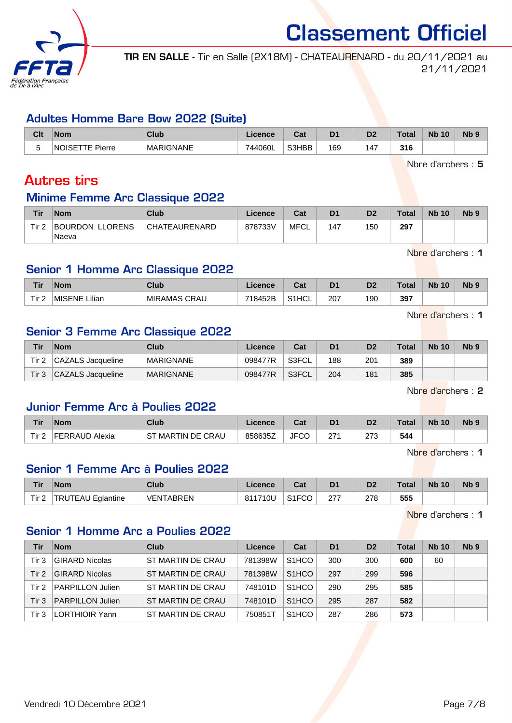

TIR EN SALLE - Tir en Salle (2X18M) - CHATEAURENARD - du 20/11/2021 au 21/11/2021

#### Adultes Homme Bare Bow 2022 (Suite)

| Clt | <b>Nom</b>                                                      | Club             | icence  | $R_{\rm{at}}$<br>ual |     | υ,  | Total              | <b>Nb</b><br>10 | N <sub>b</sub> s |
|-----|-----------------------------------------------------------------|------------------|---------|----------------------|-----|-----|--------------------|-----------------|------------------|
| -   | NOISE <sup>-</sup><br>Pierre<br>. .<br>$\overline{\phantom{a}}$ | <b>MARIGNANE</b> | 744060L | S3HBB                | 169 | 147 | <b>216</b><br>J 10 |                 |                  |

Nbre d'archers : 5

## Autres tirs

## Minime Femme Arc Classique 2022

| Tir              | <b>Nom</b>                                | Club          | Licence | Cat  | D <sub>1</sub> | D2  | Total | <b>Nb 10</b> | N <sub>b</sub> <sub>9</sub> |
|------------------|-------------------------------------------|---------------|---------|------|----------------|-----|-------|--------------|-----------------------------|
| Tir <sub>2</sub> | <b>LLORENS</b><br><b>BOURDON</b><br>Naeva | CHATEAURENARD | 878733V | MFCL | 147            | 150 | 297   |              |                             |

Nbre d'archers : 1

#### Senior 1 Homme Arc Classique 2022

| <b>Tir</b> | <b>Nom</b>        | Club                      | icence  | ו ה<br>ual         | D <sub>1</sub> | D <sub>2</sub> | Total | <b>N<sub>b</sub></b><br>10 | <b>N<sub>b</sub></b> |
|------------|-------------------|---------------------------|---------|--------------------|----------------|----------------|-------|----------------------------|----------------------|
| Tir.       | Lilian.<br>MISENE | ⊥MIRAMAS <b>∩</b><br>CRAU | 718452B | S <sub>1</sub> HCL | 207            | 190            | 397   |                            |                      |

Nbre d'archers : 1

#### Senior 3 Femme Arc Classique 2022

| Tir   | <b>Nom</b>        | Club             | Licence | Cat   | D <sub>1</sub> | D <sub>2</sub> | <b>Total</b> | <b>Nb 10</b> | N <sub>b</sub> <sub>9</sub> |
|-------|-------------------|------------------|---------|-------|----------------|----------------|--------------|--------------|-----------------------------|
| Tir 2 | CAZALS Jacqueline | <b>MARIGNANE</b> | 098477R | S3FCL | 188            | 201            | 389          |              |                             |
| Tir 3 | CAZALS Jacqueline | <b>MARIGNANE</b> | 098477R | S3FCL | 204            | 181            | 385          |              |                             |

Nbre d'archers : 2

#### Junior Femme Arc à Poulies 2022

| Tir   | <b>Nom</b>            | Club                 | Licence | <b>The State of Street</b><br>ual | D <sub>1</sub> | D <sub>2</sub> | Total | <b>N<sub>b</sub></b><br>10 | N <sub>b</sub> <sub>9</sub> |
|-------|-----------------------|----------------------|---------|-----------------------------------|----------------|----------------|-------|----------------------------|-----------------------------|
| Tir 2 | <b>FERRAUD Alexia</b> | MARTIN DE CRAU<br>SТ | 858635Z | roc<br>v<br>JГ                    | 27.            | 070<br>ں ہے    | 544   |                            |                             |

Nbre d'archers : 1

### Senior 1 Femme Arc à Poulies 2022

| Tir              | <b>Nom</b>               | Club             | .icence | ົ່<br>val          | D <sub>1</sub> | D <sub>2</sub> | Total | <b>Nb 10</b> | Nb <sub>s</sub> |
|------------------|--------------------------|------------------|---------|--------------------|----------------|----------------|-------|--------------|-----------------|
| Tir <sub>2</sub> | <b>TRUTEAU Eglantine</b> | <b>VENTABREN</b> | 811710U | S <sub>1</sub> FCO | 277            | 278<br>__      | 555   |              |                 |

Nbre d'archers : 1

#### Senior 1 Homme Arc a Poulies 2022

| Tir   | <b>Nom</b>              | Club                     | Licence | Cat                | D <sub>1</sub> | D <sub>2</sub> | <b>Total</b> | <b>Nb 10</b> | Nb <sub>9</sub> |
|-------|-------------------------|--------------------------|---------|--------------------|----------------|----------------|--------------|--------------|-----------------|
| Tir 3 | <b>GIRARD Nicolas</b>   | ST MARTIN DE CRAU        | 781398W | S <sub>1</sub> HCO | 300            | 300            | 600          | 60           |                 |
| Tir 2 | <b>GIRARD Nicolas</b>   | ST MARTIN DE CRAU        | 781398W | S <sub>1</sub> HCO | 297            | 299            | 596          |              |                 |
| Tir 2 | <b>PARPILLON Julien</b> | <b>ST MARTIN DE CRAU</b> | 748101D | S <sub>1</sub> HCO | 290            | 295            | 585          |              |                 |
| Tir 3 | <b>PARPILLON Julien</b> | ST MARTIN DE CRAU        | 748101D | S <sub>1</sub> HCO | 295            | 287            | 582          |              |                 |
| Tir 3 | LORTHIOIR Yann          | ST MARTIN DE CRAU        | 750851T | S <sub>1</sub> HCO | 287            | 286            | 573          |              |                 |

Vendredi 10 Décembre 2021 Page 7/8